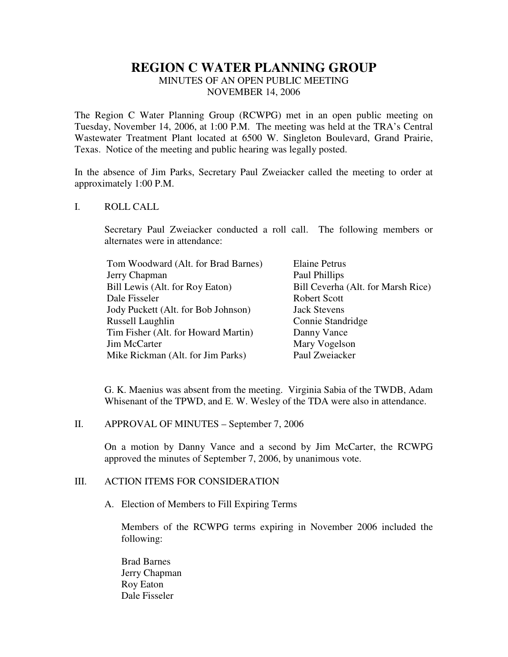# **REGION C WATER PLANNING GROUP**

MINUTES OF AN OPEN PUBLIC MEETING NOVEMBER 14, 2006

The Region C Water Planning Group (RCWPG) met in an open public meeting on Tuesday, November 14, 2006, at 1:00 P.M. The meeting was held at the TRA's Central Wastewater Treatment Plant located at 6500 W. Singleton Boulevard, Grand Prairie, Texas. Notice of the meeting and public hearing was legally posted.

In the absence of Jim Parks, Secretary Paul Zweiacker called the meeting to order at approximately 1:00 P.M.

## I. ROLL CALL

Secretary Paul Zweiacker conducted a roll call. The following members or alternates were in attendance:

| Tom Woodward (Alt. for Brad Barnes) | <b>Elaine Petrus</b>               |
|-------------------------------------|------------------------------------|
| Jerry Chapman                       | Paul Phillips                      |
| Bill Lewis (Alt. for Roy Eaton)     | Bill Ceverha (Alt. for Marsh Rice) |
| Dale Fisseler                       | Robert Scott                       |
| Jody Puckett (Alt. for Bob Johnson) | <b>Jack Stevens</b>                |
| Russell Laughlin                    | Connie Standridge                  |
| Tim Fisher (Alt. for Howard Martin) | Danny Vance                        |
| Jim McCarter                        | Mary Vogelson                      |
| Mike Rickman (Alt. for Jim Parks)   | Paul Zweiacker                     |

G. K. Maenius was absent from the meeting. Virginia Sabia of the TWDB, Adam Whisenant of the TPWD, and E. W. Wesley of the TDA were also in attendance.

II. APPROVAL OF MINUTES – September 7, 2006

On a motion by Danny Vance and a second by Jim McCarter, the RCWPG approved the minutes of September 7, 2006, by unanimous vote.

## III. ACTION ITEMS FOR CONSIDERATION

A. Election of Members to Fill Expiring Terms

Members of the RCWPG terms expiring in November 2006 included the following:

Brad Barnes Jerry Chapman Roy Eaton Dale Fisseler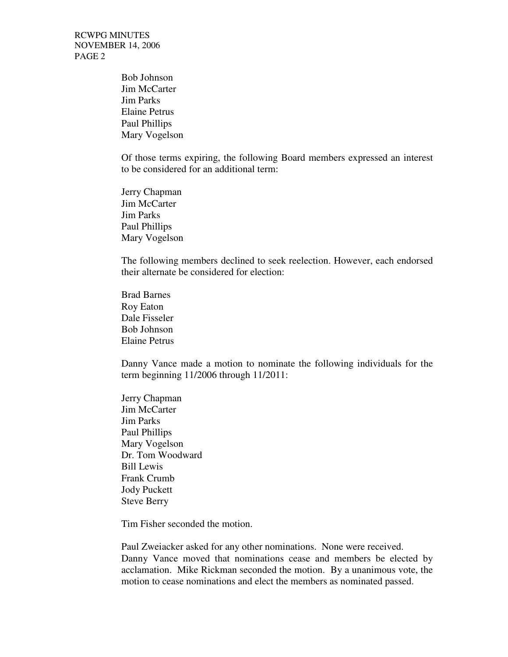RCWPG MINUTES NOVEMBER 14, 2006 PAGE 2

> Bob Johnson Jim McCarter Jim Parks Elaine Petrus Paul Phillips Mary Vogelson

Of those terms expiring, the following Board members expressed an interest to be considered for an additional term:

Jerry Chapman Jim McCarter Jim Parks Paul Phillips Mary Vogelson

The following members declined to seek reelection. However, each endorsed their alternate be considered for election:

Brad Barnes Roy Eaton Dale Fisseler Bob Johnson Elaine Petrus

Danny Vance made a motion to nominate the following individuals for the term beginning 11/2006 through 11/2011:

Jerry Chapman Jim McCarter Jim Parks Paul Phillips Mary Vogelson Dr. Tom Woodward Bill Lewis Frank Crumb Jody Puckett Steve Berry

Tim Fisher seconded the motion.

Paul Zweiacker asked for any other nominations. None were received. Danny Vance moved that nominations cease and members be elected by acclamation. Mike Rickman seconded the motion. By a unanimous vote, the motion to cease nominations and elect the members as nominated passed.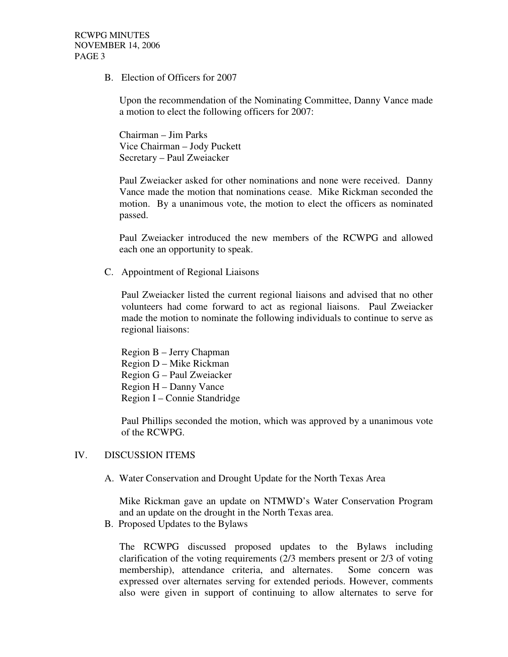RCWPG MINUTES NOVEMBER 14, 2006 PAGE 3

B. Election of Officers for 2007

Upon the recommendation of the Nominating Committee, Danny Vance made a motion to elect the following officers for 2007:

Chairman – Jim Parks Vice Chairman – Jody Puckett Secretary – Paul Zweiacker

Paul Zweiacker asked for other nominations and none were received. Danny Vance made the motion that nominations cease. Mike Rickman seconded the motion. By a unanimous vote, the motion to elect the officers as nominated passed.

Paul Zweiacker introduced the new members of the RCWPG and allowed each one an opportunity to speak.

C. Appointment of Regional Liaisons

Paul Zweiacker listed the current regional liaisons and advised that no other volunteers had come forward to act as regional liaisons. Paul Zweiacker made the motion to nominate the following individuals to continue to serve as regional liaisons:

Region B – Jerry Chapman Region D – Mike Rickman Region G – Paul Zweiacker Region H – Danny Vance Region I – Connie Standridge

Paul Phillips seconded the motion, which was approved by a unanimous vote of the RCWPG.

#### IV. DISCUSSION ITEMS

A. Water Conservation and Drought Update for the North Texas Area

Mike Rickman gave an update on NTMWD's Water Conservation Program and an update on the drought in the North Texas area.

B. Proposed Updates to the Bylaws

The RCWPG discussed proposed updates to the Bylaws including clarification of the voting requirements (2/3 members present or 2/3 of voting membership), attendance criteria, and alternates. Some concern was expressed over alternates serving for extended periods. However, comments also were given in support of continuing to allow alternates to serve for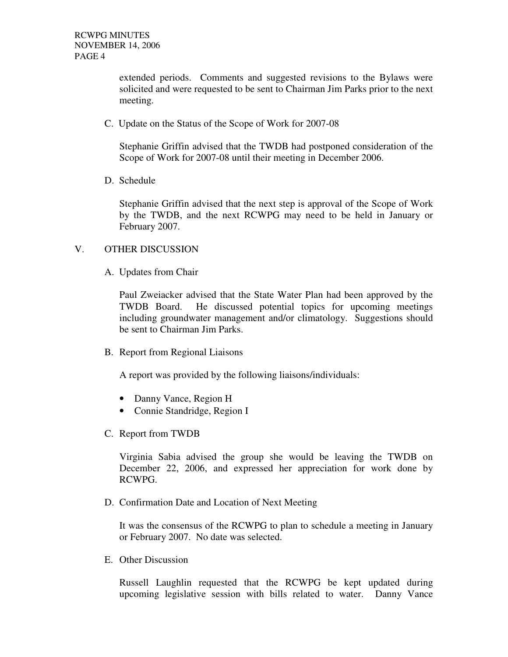extended periods. Comments and suggested revisions to the Bylaws were solicited and were requested to be sent to Chairman Jim Parks prior to the next meeting.

C. Update on the Status of the Scope of Work for 2007-08

Stephanie Griffin advised that the TWDB had postponed consideration of the Scope of Work for 2007-08 until their meeting in December 2006.

D. Schedule

Stephanie Griffin advised that the next step is approval of the Scope of Work by the TWDB, and the next RCWPG may need to be held in January or February 2007.

### V. OTHER DISCUSSION

A. Updates from Chair

Paul Zweiacker advised that the State Water Plan had been approved by the TWDB Board. He discussed potential topics for upcoming meetings including groundwater management and/or climatology. Suggestions should be sent to Chairman Jim Parks.

B. Report from Regional Liaisons

A report was provided by the following liaisons/individuals:

- Danny Vance, Region H
- Connie Standridge, Region I
- C. Report from TWDB

Virginia Sabia advised the group she would be leaving the TWDB on December 22, 2006, and expressed her appreciation for work done by RCWPG.

D. Confirmation Date and Location of Next Meeting

It was the consensus of the RCWPG to plan to schedule a meeting in January or February 2007. No date was selected.

E. Other Discussion

Russell Laughlin requested that the RCWPG be kept updated during upcoming legislative session with bills related to water. Danny Vance